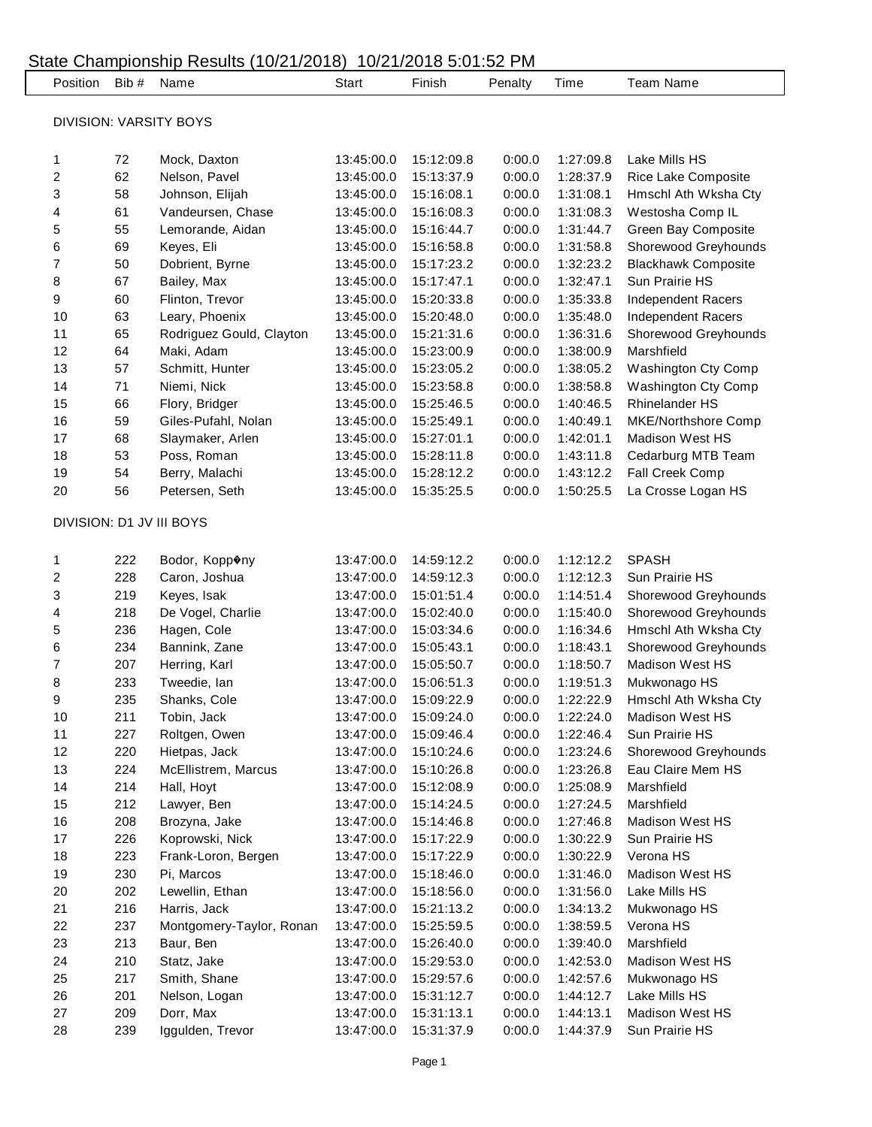| Position       | Bib #      | Name                                   | <b>Start</b>             | Finish                   | Penalty          | Time                   | Team Name                                                                                                                                                                        |
|----------------|------------|----------------------------------------|--------------------------|--------------------------|------------------|------------------------|----------------------------------------------------------------------------------------------------------------------------------------------------------------------------------|
|                |            |                                        |                          |                          |                  |                        |                                                                                                                                                                                  |
|                |            | <b>DIVISION: VARSITY BOYS</b>          |                          |                          |                  |                        |                                                                                                                                                                                  |
| 1              | 72         | Mock, Daxton                           | 13:45:00.0               | 15:12:09.8               | 0:00.0           | 1:27:09.8              | Lake Mills HS                                                                                                                                                                    |
| 2              | 62         | Nelson, Pavel                          | 13:45:00.0               | 15:13:37.9               | 0:00.0           | 1:28:37.9              | Rice Lake Composite                                                                                                                                                              |
| 3              | 58         | Johnson, Elijah                        | 13:45:00.0               | 15:16:08.1               | 0:00.0           | 1:31:08.1              | Hmschl Ath Wksha Cty                                                                                                                                                             |
| 4              | 61         | Vandeursen, Chase                      | 13:45:00.0               | 15:16:08.3               | 0:00.0           | 1:31:08.3              | Westosha Comp IL                                                                                                                                                                 |
| 5              | 55         | Lemorande, Aidan                       | 13:45:00.0               | 15:16:44.7               | 0:00.0           | 1:31:44.7              | Green Bay Composite                                                                                                                                                              |
| 6              | 69         | Keyes, Eli                             | 13:45:00.0               | 15:16:58.8               | 0:00.0           | 1:31:58.8              | Shorewood Greyhounds                                                                                                                                                             |
| 7              | 50         | Dobrient, Byrne                        | 13:45:00.0               | 15:17:23.2               | 0:00.0           | 1:32:23.2              | <b>Blackhawk Composite</b>                                                                                                                                                       |
| 8              | 67         | Bailey, Max                            | 13:45:00.0               | 15:17:47.1               | 0:00.0           | 1:32:47.1              | Sun Prairie HS                                                                                                                                                                   |
| 9              | 60         | Flinton, Trevor                        | 13:45:00.0               | 15:20:33.8               | 0:00.0           | 1:35:33.8              | Independent Racers                                                                                                                                                               |
| 10             | 63         | Leary, Phoenix                         | 13:45:00.0               | 15:20:48.0               | 0:00.0           | 1:35:48.0              | Independent Racers                                                                                                                                                               |
| 11             | 65         | Rodriguez Gould, Clayton               | 13:45:00.0               | 15:21:31.6               | 0:00.0           | 1:36:31.6              | Shorewood Greyhounds                                                                                                                                                             |
| 12             | 64         | Maki, Adam                             | 13:45:00.0               | 15:23:00.9               | 0:00.0           | 1:38:00.9              | Marshfield                                                                                                                                                                       |
| 13             | 57         | Schmitt, Hunter                        | 13:45:00.0               | 15:23:05.2               | 0:00.0           | 1:38:05.2              | Washington Cty Comp                                                                                                                                                              |
| 14             | 71         | Niemi, Nick                            | 13:45:00.0               | 15:23:58.8               | 0:00.0           | 1:38:58.8              | Washington Cty Comp                                                                                                                                                              |
| 15             | 66         | Flory, Bridger                         | 13:45:00.0               | 15:25:46.5               | 0:00.0           | 1:40:46.5              | <b>Rhinelander HS</b>                                                                                                                                                            |
| 16             | 59         | Giles-Pufahl, Nolan                    | 13:45:00.0               | 15:25:49.1               | 0:00.0           | 1:40:49.1              | MKE/Northshore Comp                                                                                                                                                              |
| 17             | 68         | Slaymaker, Arlen                       | 13:45:00.0               | 15:27:01.1               | 0:00.0           | 1:42:01.1              | <b>Madison West HS</b>                                                                                                                                                           |
| 18             | 53         | Poss, Roman                            | 13:45:00.0               | 15:28:11.8               | 0:00.0           | 1:43:11.8              | Cedarburg MTB Team                                                                                                                                                               |
| 19             | 54         | Berry, Malachi                         | 13:45:00.0               | 15:28:12.2               | 0:00.0           | 1:43:12.2              | Fall Creek Comp                                                                                                                                                                  |
| 20             | 56         | Petersen, Seth                         | 13:45:00.0               | 15:35:25.5               | 0:00.0           | 1:50:25.5              | La Crosse Logan HS                                                                                                                                                               |
|                |            | DIVISION: D1 JV III BOYS               |                          |                          |                  |                        |                                                                                                                                                                                  |
| 1              | 222        | Bodor, Kopp�ny                         | 13:47:00.0               | 14:59:12.2               | 0:00.0           | 1:12:12.2              | <b>SPASH</b>                                                                                                                                                                     |
| 2              | 228        | Caron, Joshua                          | 13:47:00.0               | 14:59:12.3               | 0:00.0           | 1:12:12.3              | Sun Prairie HS                                                                                                                                                                   |
| 3              | 219        | Keyes, Isak                            | 13:47:00.0               | 15:01:51.4               | 0:00.0           | 1:14:51.4              |                                                                                                                                                                                  |
|                | 218        | De Vogel, Charlie                      | 13:47:00.0               | 15:02:40.0               | 0:00.0           | 1:15:40.0              |                                                                                                                                                                                  |
| 4<br>5         | 236        | Hagen, Cole                            | 13:47:00.0               | 15:03:34.6               | 0:00.0           | 1:16:34.6              |                                                                                                                                                                                  |
| 6<br>7         | 234        | Bannink, Zane                          | 13:47:00.0               | 15:05:43.1               | 0:00.0           | 1:18:43.1              |                                                                                                                                                                                  |
|                | 207        | Herring, Karl                          | 13:47:00.0               | 15:05:50.7               | 0:00.0           | 1:18:50.7              | <b>Madison West HS</b>                                                                                                                                                           |
| 8              | 233        | Tweedie, Ian                           | 13:47:00.0               | 15:06:51.3               | 0:00.0           | 1:19:51.3              | Mukwonago HS                                                                                                                                                                     |
| 9              | 235        | Shanks, Cole                           | 13:47:00.0               | 15:09:22.9               | 0:00.0           | 1:22:22.9              |                                                                                                                                                                                  |
| 10             | 211        | Tobin, Jack                            | 13:47:00.0               | 15:09:24.0               | 0:00.0           | 1:22:24.0              | Madison West HS                                                                                                                                                                  |
|                | 227        | Roltgen, Owen                          | 13:47:00.0               | 15:09:46.4               | 0:00.0           | 1:22:46.4              | Sun Prairie HS                                                                                                                                                                   |
|                | 220        | Hietpas, Jack                          | 13:47:00.0               | 15:10:24.6               | 0:00.0           | 1:23:24.6              |                                                                                                                                                                                  |
| 11<br>12<br>13 | 224        | McEllistrem, Marcus                    | 13:47:00.0               | 15:10:26.8               | 0:00.0           | 1:23:26.8              | Eau Claire Mem HS                                                                                                                                                                |
| 14             | 214        | Hall, Hoyt                             | 13:47:00.0               | 15:12:08.9               | 0:00.0           | 1:25:08.9              | Marshfield                                                                                                                                                                       |
| 15             | 212        | Lawyer, Ben                            | 13:47:00.0               | 15:14:24.5               | 0:00.0           | 1:27:24.5              | Marshfield                                                                                                                                                                       |
| 16             | 208        | Brozyna, Jake                          | 13:47:00.0               | 15:14:46.8               | 0:00.0           | 1:27:46.8              | Madison West HS                                                                                                                                                                  |
| 17             | 226<br>223 | Koprowski, Nick<br>Frank-Loron, Bergen | 13:47:00.0               | 15:17:22.9               | 0:00.0           | 1:30:22.9              | Sun Prairie HS<br>Verona HS                                                                                                                                                      |
| 18             |            | Pi, Marcos                             | 13:47:00.0<br>13:47:00.0 | 15:17:22.9<br>15:18:46.0 | 0:00.0<br>0:00.0 | 1:30:22.9              | Madison West HS                                                                                                                                                                  |
| 19             | 230        |                                        |                          |                          |                  | 1:31:46.0              |                                                                                                                                                                                  |
| 20             | 202        | Lewellin, Ethan                        | 13:47:00.0               | 15:18:56.0               | 0:00.0           | 1:31:56.0              | Lake Mills HS                                                                                                                                                                    |
| 21             | 216        | Harris, Jack                           | 13:47:00.0               | 15:21:13.2               | 0:00.0           | 1:34:13.2              | Mukwonago HS                                                                                                                                                                     |
| 22             | 237        | Montgomery-Taylor, Ronan               | 13:47:00.0               | 15:25:59.5               | 0:00.0           | 1:38:59.5              | Verona HS<br>Marshfield                                                                                                                                                          |
| 23<br>24       | 213        | Baur, Ben                              | 13:47:00.0<br>13:47:00.0 | 15:26:40.0               | 0:00.0           | 1:39:40.0              | Madison West HS                                                                                                                                                                  |
|                | 210        | Statz, Jake                            |                          | 15:29:53.0               | 0:00.0           | 1:42:53.0              |                                                                                                                                                                                  |
| 25             | 217        | Smith, Shane                           | 13:47:00.0               | 15:29:57.6               | 0:00.0           | 1:42:57.6              | Mukwonago HS                                                                                                                                                                     |
| 26<br>27       | 201<br>209 | Nelson, Logan<br>Dorr, Max             | 13:47:00.0<br>13:47:00.0 | 15:31:12.7<br>15:31:13.1 | 0:00.0<br>0:00.0 | 1:44:12.7<br>1:44:13.1 | Shorewood Greyhounds<br>Shorewood Greyhounds<br>Hmschl Ath Wksha Cty<br>Shorewood Greyhounds<br>Hmschl Ath Wksha Cty<br>Shorewood Greyhounds<br>Lake Mills HS<br>Madison West HS |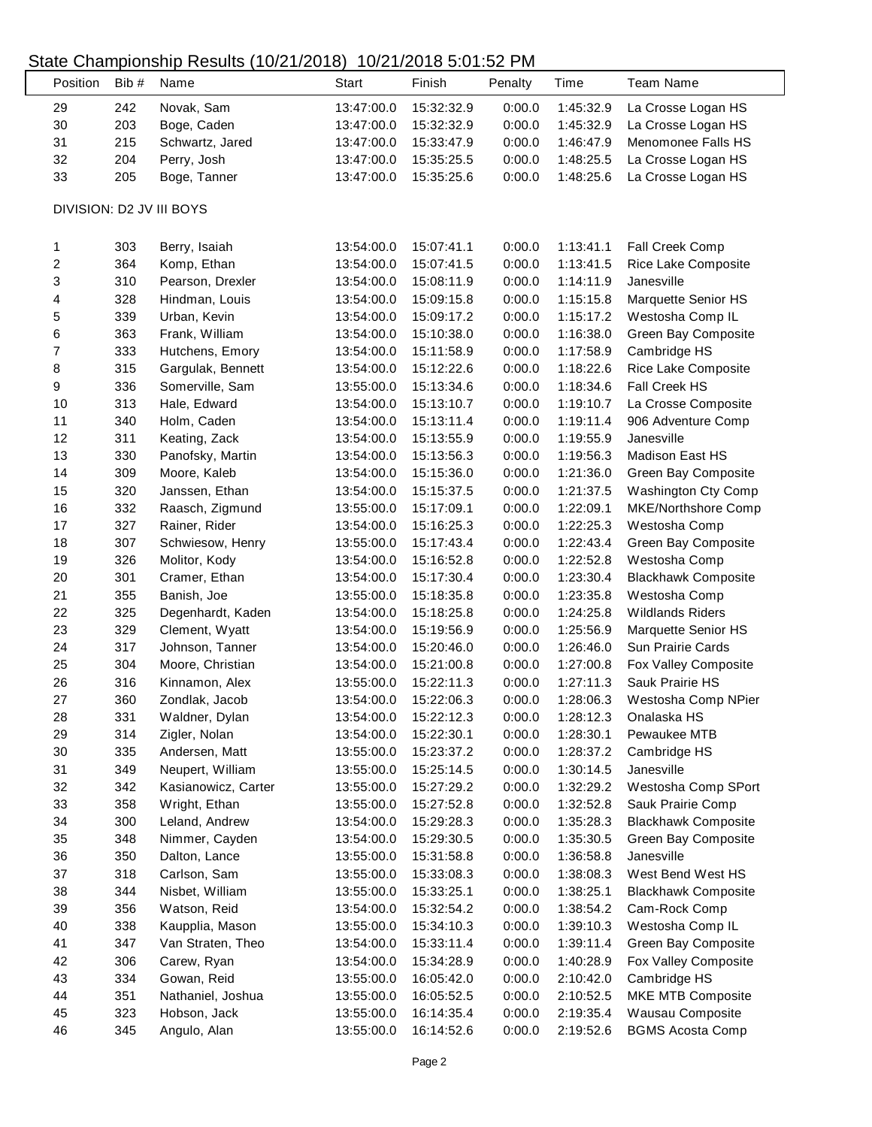### State Championship Results (10/21/2018) 10/21/2018 5:01:52 PM

L

| Position         | Bib # | Name                            | <b>Start</b> | Finish     | Penalty | Time                   | <b>Team Name</b>           |
|------------------|-------|---------------------------------|--------------|------------|---------|------------------------|----------------------------|
| 29               | 242   | Novak, Sam                      | 13:47:00.0   | 15:32:32.9 | 0:00.0  | 1:45:32.9              | La Crosse Logan HS         |
| 30               | 203   | Boge, Caden                     | 13:47:00.0   | 15:32:32.9 | 0:00.0  | 1:45:32.9              | La Crosse Logan HS         |
| 31               | 215   | Schwartz, Jared                 | 13:47:00.0   | 15:33:47.9 | 0:00.0  | 1:46:47.9              | Menomonee Falls HS         |
| 32               | 204   | Perry, Josh                     | 13:47:00.0   | 15:35:25.5 | 0:00.0  | 1:48:25.5              | La Crosse Logan HS         |
| 33               | 205   | Boge, Tanner                    | 13:47:00.0   | 15:35:25.6 | 0:00.0  | 1:48:25.6              | La Crosse Logan HS         |
|                  |       | DIVISION: D2 JV III BOYS        |              |            |         |                        |                            |
| 1                | 303   | Berry, Isaiah                   | 13:54:00.0   | 15:07:41.1 | 0:00.0  | 1:13:41.1              | Fall Creek Comp            |
| $\boldsymbol{2}$ | 364   | Komp, Ethan                     | 13:54:00.0   | 15:07:41.5 | 0:00.0  | 1:13:41.5              | Rice Lake Composite        |
| 3                | 310   | Pearson, Drexler                | 13:54:00.0   | 15:08:11.9 | 0:00.0  | 1:14:11.9              | Janesville                 |
| 4                | 328   | Hindman, Louis                  | 13:54:00.0   | 15:09:15.8 | 0:00.0  | 1:15:15.8              | Marquette Senior HS        |
| 5                | 339   | Urban, Kevin                    | 13:54:00.0   | 15:09:17.2 | 0:00.0  | 1:15:17.2              | Westosha Comp IL           |
| 6                | 363   | Frank, William                  | 13:54:00.0   | 15:10:38.0 | 0:00.0  | 1:16:38.0              | Green Bay Composite        |
| $\boldsymbol{7}$ | 333   | Hutchens, Emory                 | 13:54:00.0   | 15:11:58.9 | 0:00.0  | 1:17:58.9              | Cambridge HS               |
| 8                | 315   | Gargulak, Bennett               | 13:54:00.0   | 15:12:22.6 | 0:00.0  | 1:18:22.6              | Rice Lake Composite        |
| 9                | 336   | Somerville, Sam                 | 13:55:00.0   | 15:13:34.6 | 0:00.0  | 1:18:34.6              | Fall Creek HS              |
| 10               | 313   | Hale, Edward                    | 13:54:00.0   | 15:13:10.7 | 0:00.0  | 1:19:10.7              | La Crosse Composite        |
| 11               | 340   | Holm, Caden                     | 13:54:00.0   | 15:13:11.4 | 0:00.0  | 1:19:11.4              | 906 Adventure Comp         |
| 12               | 311   | Keating, Zack                   | 13:54:00.0   | 15:13:55.9 | 0:00.0  | 1:19:55.9              | Janesville                 |
| 13               | 330   | Panofsky, Martin                | 13:54:00.0   | 15:13:56.3 | 0:00.0  | 1:19:56.3              | Madison East HS            |
| 14               | 309   | Moore, Kaleb                    | 13:54:00.0   | 15:15:36.0 | 0:00.0  | 1:21:36.0              | Green Bay Composite        |
| 15               | 320   | Janssen, Ethan                  | 13:54:00.0   | 15:15:37.5 | 0:00.0  | 1:21:37.5              | Washington Cty Comp        |
| 16               | 332   | Raasch, Zigmund                 | 13:55:00.0   | 15:17:09.1 | 0:00.0  | 1:22:09.1              | MKE/Northshore Comp        |
| 17               | 327   | Rainer, Rider                   | 13:54:00.0   | 15:16:25.3 | 0:00.0  | 1:22:25.3              | Westosha Comp              |
| 18               | 307   | Schwiesow, Henry                | 13:55:00.0   | 15:17:43.4 | 0:00.0  | 1:22:43.4              | Green Bay Composite        |
| 19               | 326   | Molitor, Kody                   | 13:54:00.0   | 15:16:52.8 | 0:00.0  | 1:22:52.8              | Westosha Comp              |
| 20               | 301   | Cramer, Ethan                   | 13:54:00.0   | 15:17:30.4 | 0:00.0  | 1:23:30.4              | <b>Blackhawk Composite</b> |
| 21               | 355   | Banish, Joe                     | 13:55:00.0   | 15:18:35.8 | 0:00.0  | 1:23:35.8              | Westosha Comp              |
| 22               | 325   | Degenhardt, Kaden               | 13:54:00.0   | 15:18:25.8 | 0:00.0  | 1:24:25.8              | <b>Wildlands Riders</b>    |
| 23               | 329   | Clement, Wyatt                  | 13:54:00.0   | 15:19:56.9 | 0:00.0  | 1:25:56.9              | Marquette Senior HS        |
| 24               | 317   | Johnson, Tanner                 | 13:54:00.0   | 15:20:46.0 | 0:00.0  | 1:26:46.0              | Sun Prairie Cards          |
| 25               | 304   | Moore, Christian                | 13:54:00.0   | 15:21:00.8 | 0:00.0  | 1:27:00.8              | Fox Valley Composite       |
| 26               | 316   | Kinnamon, Alex                  | 13:55:00.0   | 15:22:11.3 | 0:00.0  | 1:27:11.3              | Sauk Prairie HS            |
| 27               | 360   | Zondlak, Jacob                  | 13:54:00.0   | 15:22:06.3 | 0:00.0  | 1:28:06.3              | Westosha Comp NPier        |
| 28               | 331   | Waldner, Dylan                  | 13:54:00.0   | 15:22:12.3 | 0:00.0  | 1:28:12.3              | Onalaska HS                |
| 29               | 314   | Zigler, Nolan                   | 13:54:00.0   | 15:22:30.1 | 0:00.0  | 1:28:30.1              | Pewaukee MTB               |
| $30\,$           | 335   | Andersen, Matt                  | 13:55:00.0   | 15:23:37.2 | 0:00.0  | 1:28:37.2              | Cambridge HS               |
| 31               | 349   | Neupert, William                | 13:55:00.0   | 15:25:14.5 | 0:00.0  | 1:30:14.5              | Janesville                 |
| 32               | 342   | Kasianowicz, Carter             | 13:55:00.0   | 15:27:29.2 | 0:00.0  | 1:32:29.2              | Westosha Comp SPort        |
| 33               | 358   | Wright, Ethan                   | 13:55:00.0   | 15:27:52.8 | 0:00.0  | 1:32:52.8              | Sauk Prairie Comp          |
| 34               | 300   | Leland, Andrew                  | 13:54:00.0   | 15:29:28.3 | 0:00.0  | 1:35:28.3              | <b>Blackhawk Composite</b> |
|                  |       |                                 | 13:54:00.0   |            |         |                        |                            |
| 35               | 348   | Nimmer, Cayden<br>Dalton, Lance |              | 15:29:30.5 | 0:00.0  | 1:35:30.5<br>1:36:58.8 | Green Bay Composite        |
| 36               | 350   |                                 | 13:55:00.0   | 15:31:58.8 | 0:00.0  |                        | Janesville                 |
| 37               | 318   | Carlson, Sam                    | 13:55:00.0   | 15:33:08.3 | 0:00.0  | 1:38:08.3              | West Bend West HS          |
| 38               | 344   | Nisbet, William                 | 13:55:00.0   | 15:33:25.1 | 0:00.0  | 1:38:25.1              | <b>Blackhawk Composite</b> |
| 39               | 356   | Watson, Reid                    | 13:54:00.0   | 15:32:54.2 | 0:00.0  | 1:38:54.2              | Cam-Rock Comp              |
| 40               | 338   | Kaupplia, Mason                 | 13:55:00.0   | 15:34:10.3 | 0:00.0  | 1:39:10.3              | Westosha Comp IL           |
| 41               | 347   | Van Straten, Theo               | 13:54:00.0   | 15:33:11.4 | 0:00.0  | 1:39:11.4              | Green Bay Composite        |
| 42               | 306   | Carew, Ryan                     | 13:54:00.0   | 15:34:28.9 | 0:00.0  | 1:40:28.9              | Fox Valley Composite       |
| 43               | 334   | Gowan, Reid                     | 13:55:00.0   | 16:05:42.0 | 0:00.0  | 2:10:42.0              | Cambridge HS               |
| 44               | 351   | Nathaniel, Joshua               | 13:55:00.0   | 16:05:52.5 | 0:00.0  | 2:10:52.5              | MKE MTB Composite          |
| 45               | 323   | Hobson, Jack                    | 13:55:00.0   | 16:14:35.4 | 0:00.0  | 2:19:35.4              | Wausau Composite           |
| 46               | 345   | Angulo, Alan                    | 13:55:00.0   | 16:14:52.6 | 0:00.0  | 2:19:52.6              | <b>BGMS Acosta Comp</b>    |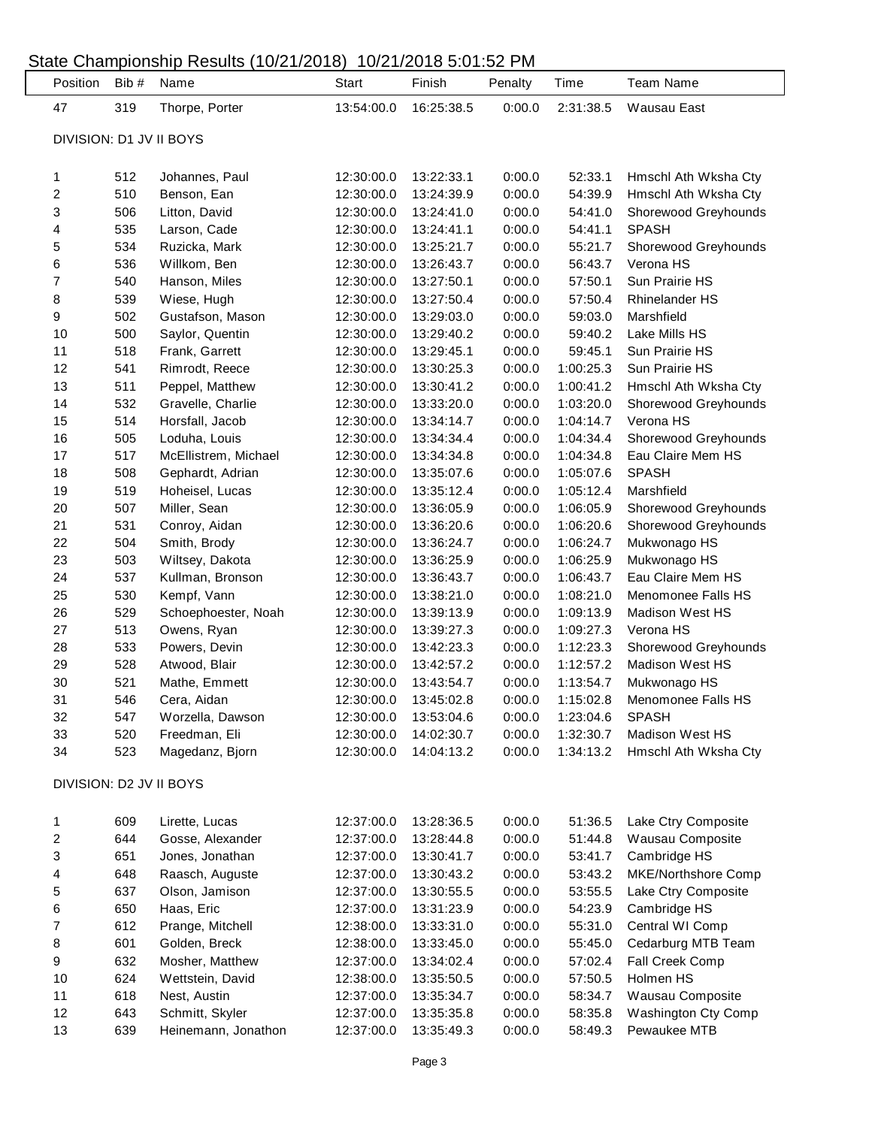#### State Championship Results (10/21/2018) 10/21/2018 5:01:52 PM Position Bib # Name Start Finish Penalty Time Team Name 319 Thorpe, Porter 13:54:00.0 16:25:38.5 0:00.0 2:31:38.5 Wausau East DIVISION: D1 JV II BOYS 512 Johannes, Paul 12:30:00.0 13:22:33.1 0:00.0 52:33.1 Hmschl Ath Wksha Cty 510 Benson, Ean 12:30:00.0 13:24:39.9 0:00.0 54:39.9 Hmschl Ath Wksha Cty 506 Litton, David 12:30:00.0 13:24:41.0 0:00.0 54:41.0 Shorewood Greyhounds 535 Larson, Cade 12:30:00.0 13:24:41.1 0:00.0 54:41.1 SPASH 534 Ruzicka, Mark 12:30:00.0 13:25:21.7 0:00.0 55:21.7 Shorewood Greyhounds 536 Willkom, Ben 12:30:00.0 13:26:43.7 0:00.0 56:43.7 Verona HS 540 Hanson, Miles 12:30:00.0 13:27:50.1 0:00.0 57:50.1 Sun Prairie HS 539 Wiese, Hugh 12:30:00.0 13:27:50.4 0:00.0 57:50.4 Rhinelander HS 502 Gustafson, Mason 12:30:00.0 13:29:03.0 0:00.0 59:03.0 Marshfield 500 Saylor, Quentin 12:30:00.0 13:29:40.2 0:00.0 59:40.2 Lake Mills HS 518 Frank, Garrett 12:30:00.0 13:29:45.1 0:00.0 59:45.1 Sun Prairie HS 541 Rimrodt, Reece 12:30:00.0 13:30:25.3 0:00.0 1:00:25.3 Sun Prairie HS 511 Peppel, Matthew 12:30:00.0 13:30:41.2 0:00.0 1:00:41.2 Hmschl Ath Wksha Cty 532 Gravelle, Charlie 12:30:00.0 13:33:20.0 0:00.0 1:03:20.0 Shorewood Greyhounds 514 Horsfall, Jacob 12:30:00.0 13:34:14.7 0:00.0 1:04:14.7 Verona HS 505 Loduha, Louis 12:30:00.0 13:34:34.4 0:00.0 1:04:34.4 Shorewood Greyhounds 517 McEllistrem, Michael 12:30:00.0 13:34:34.8 0:00.0 1:04:34.8 Eau Claire Mem HS 508 Gephardt, Adrian 12:30:00.0 13:35:07.6 0:00.0 1:05:07.6 SPASH 519 Hoheisel, Lucas 12:30:00.0 13:35:12.4 0:00.0 1:05:12.4 Marshfield 507 Miller, Sean 12:30:00.0 13:36:05.9 0:00.0 1:06:05.9 Shorewood Greyhounds 531 Conroy, Aidan 12:30:00.0 13:36:20.6 0:00.0 1:06:20.6 Shorewood Greyhounds 504 Smith, Brody 12:30:00.0 13:36:24.7 0:00.0 1:06:24.7 Mukwonago HS 503 Wiltsey, Dakota 12:30:00.0 13:36:25.9 0:00.0 1:06:25.9 Mukwonago HS 537 Kullman, Bronson 12:30:00.0 13:36:43.7 0:00.0 1:06:43.7 Eau Claire Mem HS 530 Kempf, Vann 12:30:00.0 13:38:21.0 0:00.0 1:08:21.0 Menomonee Falls HS 529 Schoephoester, Noah 12:30:00.0 13:39:13.9 0:00.0 1:09:13.9 Madison West HS 513 Owens, Ryan 12:30:00.0 13:39:27.3 0:00.0 1:09:27.3 Verona HS 533 Powers, Devin 12:30:00.0 13:42:23.3 0:00.0 1:12:23.3 Shorewood Greyhounds 528 Atwood, Blair 12:30:00.0 13:42:57.2 0:00.0 1:12:57.2 Madison West HS 521 Mathe, Emmett 12:30:00.0 13:43:54.7 0:00.0 1:13:54.7 Mukwonago HS 546 Cera, Aidan 12:30:00.0 13:45:02.8 0:00.0 1:15:02.8 Menomonee Falls HS 547 Worzella, Dawson 12:30:00.0 13:53:04.6 0:00.0 1:23:04.6 SPASH 520 Freedman, Eli 12:30:00.0 14:02:30.7 0:00.0 1:32:30.7 Madison West HS 523 Magedanz, Bjorn 12:30:00.0 14:04:13.2 0:00.0 1:34:13.2 Hmschl Ath Wksha Cty DIVISION: D2 JV II BOYS 609 Lirette, Lucas 12:37:00.0 13:28:36.5 0:00.0 51:36.5 Lake Ctry Composite 644 Gosse, Alexander 12:37:00.0 13:28:44.8 0:00.0 51:44.8 Wausau Composite 651 Jones, Jonathan 12:37:00.0 13:30:41.7 0:00.0 53:41.7 Cambridge HS 648 Raasch, Auguste 12:37:00.0 13:30:43.2 0:00.0 53:43.2 MKE/Northshore Comp 637 Olson, Jamison 12:37:00.0 13:30:55.5 0:00.0 53:55.5 Lake Ctry Composite 650 Haas, Eric 12:37:00.0 13:31:23.9 0:00.0 54:23.9 Cambridge HS 612 Prange, Mitchell 12:38:00.0 13:33:31.0 0:00.0 55:31.0 Central WI Comp 601 Golden, Breck 12:38:00.0 13:33:45.0 0:00.0 55:45.0 Cedarburg MTB Team 632 Mosher, Matthew 12:37:00.0 13:34:02.4 0:00.0 57:02.4 Fall Creek Comp 624 Wettstein, David 12:38:00.0 13:35:50.5 0:00.0 57:50.5 Holmen HS 618 Nest, Austin 12:37:00.0 13:35:34.7 0:00.0 58:34.7 Wausau Composite 643 Schmitt, Skyler 12:37:00.0 13:35:35.8 0:00.0 58:35.8 Washington Cty Comp 639 Heinemann, Jonathon 12:37:00.0 13:35:49.3 0:00.0 58:49.3 Pewaukee MTB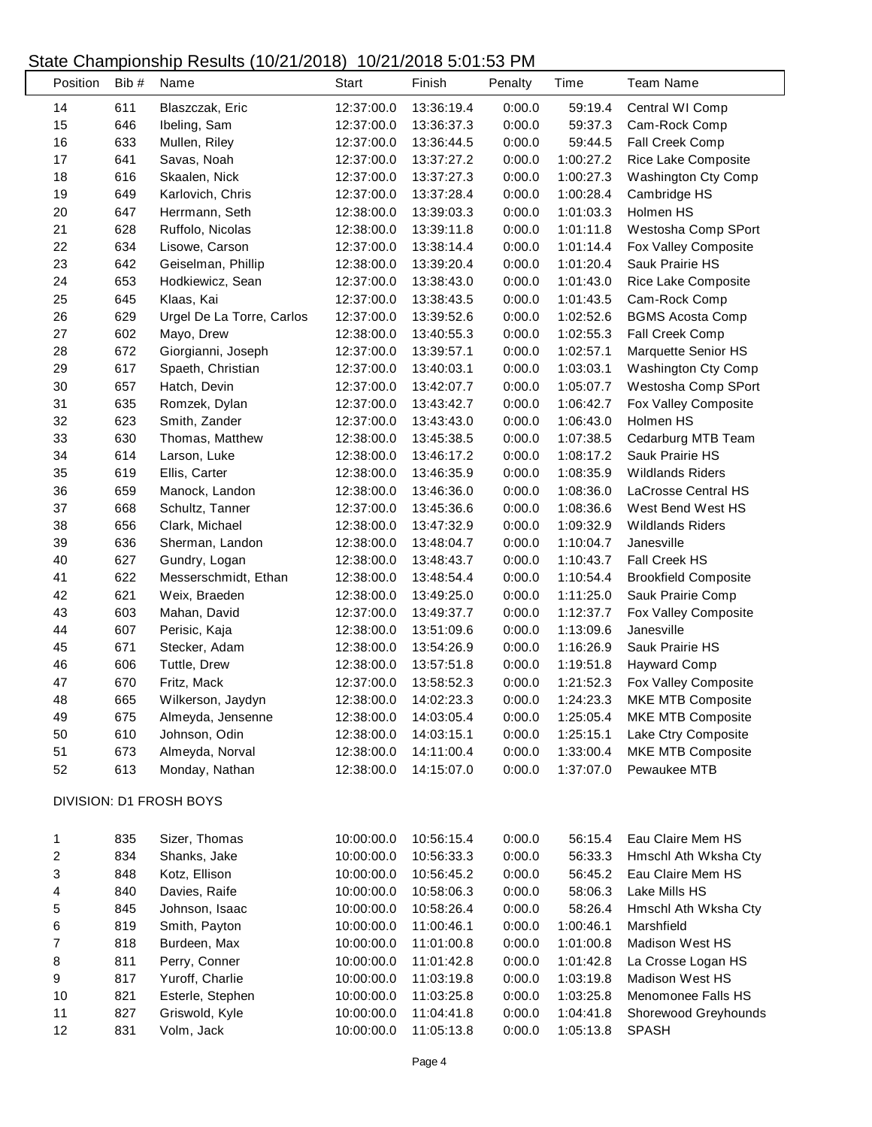### State Championship Results (10/21/2018) 10/21/2018 5:01:53 PM

| Position | Bib# | Name                      | <b>Start</b> | Finish     | Penalty | Time      | <b>Team Name</b>            |
|----------|------|---------------------------|--------------|------------|---------|-----------|-----------------------------|
| 14       | 611  | Blaszczak, Eric           | 12:37:00.0   | 13:36:19.4 | 0:00.0  | 59:19.4   | Central WI Comp             |
| 15       | 646  | Ibeling, Sam              | 12:37:00.0   | 13:36:37.3 | 0:00.0  | 59:37.3   | Cam-Rock Comp               |
| 16       | 633  | Mullen, Riley             | 12:37:00.0   | 13:36:44.5 | 0:00.0  | 59:44.5   | Fall Creek Comp             |
| 17       | 641  | Savas, Noah               | 12:37:00.0   | 13:37:27.2 | 0:00.0  | 1:00:27.2 | Rice Lake Composite         |
| 18       | 616  | Skaalen, Nick             | 12:37:00.0   | 13:37:27.3 | 0:00.0  | 1:00:27.3 | Washington Cty Comp         |
| 19       | 649  | Karlovich, Chris          | 12:37:00.0   | 13:37:28.4 | 0:00.0  | 1:00:28.4 | Cambridge HS                |
| 20       | 647  | Herrmann, Seth            | 12:38:00.0   | 13:39:03.3 | 0:00.0  | 1:01:03.3 | Holmen HS                   |
| 21       | 628  | Ruffolo, Nicolas          | 12:38:00.0   | 13:39:11.8 | 0:00.0  | 1:01:11.8 | Westosha Comp SPort         |
| 22       | 634  | Lisowe, Carson            | 12:37:00.0   | 13:38:14.4 | 0:00.0  | 1:01:14.4 | Fox Valley Composite        |
| 23       | 642  | Geiselman, Phillip        | 12:38:00.0   | 13:39:20.4 | 0:00.0  | 1:01:20.4 | Sauk Prairie HS             |
| 24       | 653  | Hodkiewicz, Sean          | 12:37:00.0   | 13:38:43.0 | 0:00.0  | 1:01:43.0 | Rice Lake Composite         |
| 25       | 645  | Klaas, Kai                | 12:37:00.0   | 13:38:43.5 | 0:00.0  | 1:01:43.5 | Cam-Rock Comp               |
| 26       | 629  | Urgel De La Torre, Carlos | 12:37:00.0   | 13:39:52.6 | 0:00.0  | 1:02:52.6 | <b>BGMS Acosta Comp</b>     |
| 27       | 602  | Mayo, Drew                | 12:38:00.0   | 13:40:55.3 | 0:00.0  | 1:02:55.3 | Fall Creek Comp             |
| 28       | 672  | Giorgianni, Joseph        | 12:37:00.0   | 13:39:57.1 | 0:00.0  | 1:02:57.1 | Marquette Senior HS         |
| 29       | 617  | Spaeth, Christian         | 12:37:00.0   | 13:40:03.1 | 0:00.0  | 1:03:03.1 | Washington Cty Comp         |
| 30       | 657  | Hatch, Devin              | 12:37:00.0   | 13:42:07.7 | 0:00.0  | 1:05:07.7 | Westosha Comp SPort         |
| 31       | 635  | Romzek, Dylan             | 12:37:00.0   | 13:43:42.7 | 0:00.0  | 1:06:42.7 | Fox Valley Composite        |
| 32       | 623  | Smith, Zander             | 12:37:00.0   | 13:43:43.0 | 0:00.0  | 1:06:43.0 | Holmen HS                   |
| 33       | 630  | Thomas, Matthew           | 12:38:00.0   | 13:45:38.5 | 0:00.0  | 1:07:38.5 | Cedarburg MTB Team          |
| 34       | 614  | Larson, Luke              | 12:38:00.0   | 13:46:17.2 | 0:00.0  | 1:08:17.2 | Sauk Prairie HS             |
| 35       | 619  | Ellis, Carter             | 12:38:00.0   | 13:46:35.9 | 0:00.0  | 1:08:35.9 | <b>Wildlands Riders</b>     |
| 36       | 659  | Manock, Landon            | 12:38:00.0   | 13:46:36.0 | 0:00.0  | 1:08:36.0 | LaCrosse Central HS         |
| 37       | 668  | Schultz, Tanner           | 12:37:00.0   | 13:45:36.6 | 0:00.0  | 1:08:36.6 | West Bend West HS           |
| 38       | 656  | Clark, Michael            | 12:38:00.0   | 13:47:32.9 | 0:00.0  | 1:09:32.9 | <b>Wildlands Riders</b>     |
| 39       | 636  | Sherman, Landon           | 12:38:00.0   | 13:48:04.7 | 0:00.0  | 1:10:04.7 | Janesville                  |
| 40       | 627  | Gundry, Logan             | 12:38:00.0   | 13:48:43.7 | 0:00.0  | 1:10:43.7 | Fall Creek HS               |
| 41       | 622  | Messerschmidt, Ethan      | 12:38:00.0   | 13:48:54.4 | 0:00.0  | 1:10:54.4 | <b>Brookfield Composite</b> |
| 42       | 621  | Weix, Braeden             | 12:38:00.0   | 13:49:25.0 | 0:00.0  | 1:11:25.0 | Sauk Prairie Comp           |
| 43       | 603  | Mahan, David              | 12:37:00.0   | 13:49:37.7 | 0:00.0  | 1:12:37.7 | Fox Valley Composite        |
| 44       | 607  | Perisic, Kaja             | 12:38:00.0   | 13:51:09.6 | 0:00.0  | 1:13:09.6 | Janesville                  |
| 45       | 671  | Stecker, Adam             | 12:38:00.0   | 13:54:26.9 | 0:00.0  | 1:16:26.9 | Sauk Prairie HS             |
| 46       | 606  | Tuttle, Drew              | 12:38:00.0   | 13:57:51.8 | 0:00.0  | 1:19:51.8 | <b>Hayward Comp</b>         |
| 47       | 670  | Fritz, Mack               | 12:37:00.0   | 13:58:52.3 | 0:00.0  | 1:21:52.3 | Fox Valley Composite        |
| 48       | 665  | Wilkerson, Jaydyn         | 12:38:00.0   | 14:02:23.3 | 0:00.0  | 1:24:23.3 | MKE MTB Composite           |
| 49       | 675  | Almeyda, Jensenne         | 12:38:00.0   | 14:03:05.4 | 0:00.0  | 1:25:05.4 | MKE MTB Composite           |
| 50       | 610  | Johnson, Odin             | 12:38:00.0   | 14:03:15.1 | 0:00.0  | 1:25:15.1 | Lake Ctry Composite         |
| 51       | 673  | Almeyda, Norval           | 12:38:00.0   | 14:11:00.4 | 0:00.0  | 1:33:00.4 | <b>MKE MTB Composite</b>    |
| 52       | 613  | Monday, Nathan            | 12:38:00.0   | 14:15:07.0 | 0:00.0  | 1:37:07.0 | Pewaukee MTB                |
|          |      |                           |              |            |         |           |                             |
|          |      | DIVISION: D1 FROSH BOYS   |              |            |         |           |                             |
| 1        | 835  | Sizer, Thomas             | 10:00:00.0   | 10:56:15.4 | 0:00.0  | 56:15.4   | Eau Claire Mem HS           |
| 2        | 834  | Shanks, Jake              | 10:00:00.0   | 10:56:33.3 | 0:00.0  | 56:33.3   | Hmschl Ath Wksha Cty        |
| 3        | 848  | Kotz, Ellison             | 10:00:00.0   | 10:56:45.2 | 0:00.0  | 56:45.2   | Eau Claire Mem HS           |
| 4        | 840  | Davies, Raife             | 10:00:00.0   | 10:58:06.3 | 0:00.0  | 58:06.3   | Lake Mills HS               |
| 5        | 845  | Johnson, Isaac            | 10:00:00.0   | 10:58:26.4 | 0:00.0  | 58:26.4   | Hmschl Ath Wksha Cty        |
| 6        | 819  | Smith, Payton             | 10:00:00.0   | 11:00:46.1 | 0:00.0  | 1:00:46.1 | Marshfield                  |
| 7        | 818  | Burdeen, Max              | 10:00:00.0   | 11:01:00.8 | 0:00.0  | 1:01:00.8 | Madison West HS             |
| 8        | 811  | Perry, Conner             | 10:00:00.0   | 11:01:42.8 | 0:00.0  | 1:01:42.8 | La Crosse Logan HS          |
| 9        | 817  | Yuroff, Charlie           | 10:00:00.0   | 11:03:19.8 | 0:00.0  | 1:03:19.8 | Madison West HS             |
|          | 821  |                           |              |            | 0:00.0  | 1:03:25.8 | Menomonee Falls HS          |
| 10<br>11 | 827  | Esterle, Stephen          | 10:00:00.0   | 11:03:25.8 | 0:00.0  |           |                             |
|          |      | Griswold, Kyle            | 10:00:00.0   | 11:04:41.8 |         | 1:04:41.8 | Shorewood Greyhounds        |
| 12       | 831  | Volm, Jack                | 10:00:00.0   | 11:05:13.8 | 0:00.0  | 1:05:13.8 | <b>SPASH</b>                |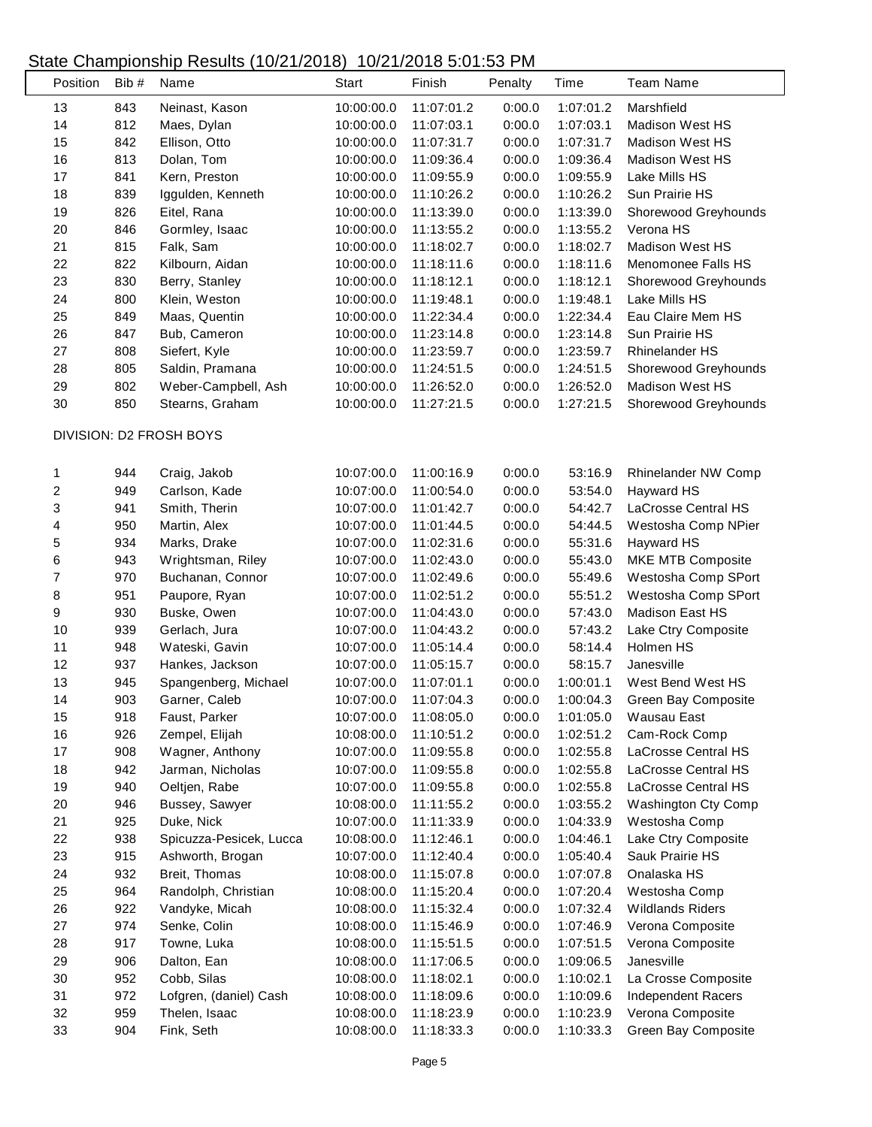## State Championship Results (10/21/2018) 10/21/2018 5:01:53 PM

| Position                | Bib# | Name                    | <b>Start</b> | Finish     | Penalty | Time      | <b>Team Name</b>                     |
|-------------------------|------|-------------------------|--------------|------------|---------|-----------|--------------------------------------|
| 13                      | 843  | Neinast, Kason          | 10:00:00.0   | 11:07:01.2 | 0:00.0  | 1:07:01.2 | Marshfield                           |
| 14                      | 812  | Maes, Dylan             | 10:00:00.0   | 11:07:03.1 | 0:00.0  | 1:07:03.1 | <b>Madison West HS</b>               |
| 15                      | 842  | Ellison, Otto           | 10:00:00.0   | 11:07:31.7 | 0:00.0  | 1:07:31.7 | <b>Madison West HS</b>               |
| 16                      | 813  | Dolan, Tom              | 10:00:00.0   | 11:09:36.4 | 0:00.0  | 1:09:36.4 | <b>Madison West HS</b>               |
| 17                      | 841  | Kern, Preston           | 10:00:00.0   | 11:09:55.9 | 0:00.0  | 1:09:55.9 | Lake Mills HS                        |
| 18                      | 839  | Iggulden, Kenneth       | 10:00:00.0   | 11:10:26.2 | 0:00.0  | 1:10:26.2 | Sun Prairie HS                       |
| 19                      | 826  | Eitel, Rana             | 10:00:00.0   | 11:13:39.0 | 0:00.0  | 1:13:39.0 | Shorewood Greyhounds                 |
| 20                      | 846  | Gormley, Isaac          | 10:00:00.0   | 11:13:55.2 | 0:00.0  | 1:13:55.2 | Verona HS                            |
| 21                      | 815  | Falk, Sam               | 10:00:00.0   | 11:18:02.7 | 0:00.0  | 1:18:02.7 | <b>Madison West HS</b>               |
| 22                      | 822  | Kilbourn, Aidan         | 10:00:00.0   | 11:18:11.6 | 0:00.0  | 1:18:11.6 | Menomonee Falls HS                   |
| 23                      | 830  | Berry, Stanley          | 10:00:00.0   | 11:18:12.1 | 0:00.0  | 1:18:12.1 | Shorewood Greyhounds                 |
| 24                      | 800  | Klein, Weston           | 10:00:00.0   | 11:19:48.1 | 0:00.0  | 1:19:48.1 | Lake Mills HS                        |
| 25                      | 849  | Maas, Quentin           | 10:00:00.0   | 11:22:34.4 | 0:00.0  | 1:22:34.4 | Eau Claire Mem HS                    |
| 26                      | 847  | Bub, Cameron            | 10:00:00.0   | 11:23:14.8 | 0:00.0  | 1:23:14.8 | Sun Prairie HS                       |
| 27                      | 808  | Siefert, Kyle           | 10:00:00.0   | 11:23:59.7 | 0:00.0  | 1:23:59.7 | <b>Rhinelander HS</b>                |
| 28                      | 805  | Saldin, Pramana         | 10:00:00.0   | 11:24:51.5 | 0:00.0  | 1:24:51.5 |                                      |
|                         |      |                         |              |            |         | 1:26:52.0 | Shorewood Greyhounds                 |
| 29                      | 802  | Weber-Campbell, Ash     | 10:00:00.0   | 11:26:52.0 | 0:00.0  |           | <b>Madison West HS</b>               |
| 30                      | 850  | Stearns, Graham         | 10:00:00.0   | 11:27:21.5 | 0:00.0  | 1:27:21.5 | Shorewood Greyhounds                 |
|                         |      | DIVISION: D2 FROSH BOYS |              |            |         |           |                                      |
| 1                       | 944  | Craig, Jakob            | 10:07:00.0   | 11:00:16.9 | 0:00.0  | 53:16.9   | Rhinelander NW Comp                  |
| $\overline{\mathbf{c}}$ | 949  | Carlson, Kade           | 10:07:00.0   | 11:00:54.0 | 0:00.0  | 53:54.0   | Hayward HS                           |
| 3                       | 941  | Smith, Therin           | 10:07:00.0   | 11:01:42.7 | 0:00.0  | 54:42.7   | LaCrosse Central HS                  |
| 4                       | 950  | Martin, Alex            | 10:07:00.0   | 11:01:44.5 | 0:00.0  | 54:44.5   | Westosha Comp NPier                  |
| 5                       | 934  | Marks, Drake            | 10:07:00.0   | 11:02:31.6 | 0:00.0  | 55:31.6   | Hayward HS                           |
| 6                       | 943  | Wrightsman, Riley       | 10:07:00.0   | 11:02:43.0 | 0:00.0  | 55:43.0   | MKE MTB Composite                    |
| 7                       | 970  | Buchanan, Connor        | 10:07:00.0   | 11:02:49.6 | 0:00.0  | 55:49.6   | Westosha Comp SPort                  |
| 8                       | 951  | Paupore, Ryan           | 10:07:00.0   | 11:02:51.2 | 0:00.0  | 55:51.2   | Westosha Comp SPort                  |
| 9                       | 930  | Buske, Owen             | 10:07:00.0   | 11:04:43.0 | 0:00.0  | 57:43.0   | <b>Madison East HS</b>               |
| 10                      | 939  | Gerlach, Jura           | 10:07:00.0   | 11:04:43.2 | 0:00.0  | 57:43.2   | Lake Ctry Composite                  |
| 11                      | 948  | Wateski, Gavin          | 10:07:00.0   | 11:05:14.4 | 0:00.0  | 58:14.4   | Holmen HS                            |
| 12                      | 937  | Hankes, Jackson         | 10:07:00.0   | 11:05:15.7 | 0:00.0  | 58:15.7   | Janesville                           |
| 13                      | 945  | Spangenberg, Michael    | 10:07:00.0   | 11:07:01.1 | 0:00.0  | 1:00:01.1 | West Bend West HS                    |
| 14                      | 903  | Garner, Caleb           | 10:07:00.0   | 11:07:04.3 | 0:00.0  | 1:00:04.3 | Green Bay Composite                  |
| 15                      | 918  | Faust, Parker           | 10:07:00.0   | 11:08:05.0 | 0:00.0  | 1:01:05.0 | Wausau East                          |
| 16                      | 926  | Zempel, Elijah          | 10:08:00.0   | 11:10:51.2 | 0:00.0  | 1:02:51.2 | Cam-Rock Comp                        |
| 17                      | 908  | Wagner, Anthony         | 10:07:00.0   | 11:09:55.8 | 0:00.0  | 1:02:55.8 | LaCrosse Central HS                  |
| 18                      | 942  | Jarman, Nicholas        | 10:07:00.0   | 11:09:55.8 | 0:00.0  | 1:02:55.8 | LaCrosse Central HS                  |
| 19                      | 940  | Oeltjen, Rabe           | 10:07:00.0   | 11:09:55.8 | 0:00.0  | 1:02:55.8 | LaCrosse Central HS                  |
|                         |      |                         | 10:08:00.0   | 11:11:55.2 | 0:00.0  | 1:03:55.2 | <b>Washington Cty Comp</b>           |
| 20<br>21                | 946  | Bussey, Sawyer          |              |            | 0:00.0  |           |                                      |
|                         | 925  | Duke, Nick              | 10:07:00.0   | 11:11:33.9 |         | 1:04:33.9 | Westosha Comp<br>Lake Ctry Composite |
| 22                      | 938  | Spicuzza-Pesicek, Lucca | 10:08:00.0   | 11:12:46.1 | 0:00.0  | 1:04:46.1 |                                      |
| 23                      | 915  | Ashworth, Brogan        | 10:07:00.0   | 11:12:40.4 | 0:00.0  | 1:05:40.4 | Sauk Prairie HS                      |
| 24                      | 932  | Breit, Thomas           | 10:08:00.0   | 11:15:07.8 | 0:00.0  | 1:07:07.8 | Onalaska HS                          |
| 25                      | 964  | Randolph, Christian     | 10:08:00.0   | 11:15:20.4 | 0:00.0  | 1:07:20.4 | Westosha Comp                        |
| 26                      | 922  | Vandyke, Micah          | 10:08:00.0   | 11:15:32.4 | 0:00.0  | 1:07:32.4 | <b>Wildlands Riders</b>              |
| 27                      | 974  | Senke, Colin            | 10:08:00.0   | 11:15:46.9 | 0:00.0  | 1:07:46.9 | Verona Composite                     |
| 28                      | 917  | Towne, Luka             | 10:08:00.0   | 11:15:51.5 | 0:00.0  | 1:07:51.5 | Verona Composite                     |
| 29                      | 906  | Dalton, Ean             | 10:08:00.0   | 11:17:06.5 | 0:00.0  | 1:09:06.5 | Janesville                           |
| 30                      | 952  | Cobb, Silas             | 10:08:00.0   | 11:18:02.1 | 0:00.0  | 1:10:02.1 | La Crosse Composite                  |
| 31                      | 972  | Lofgren, (daniel) Cash  | 10:08:00.0   | 11:18:09.6 | 0:00.0  | 1:10:09.6 | Independent Racers                   |
| 32                      | 959  | Thelen, Isaac           | 10:08:00.0   | 11:18:23.9 | 0:00.0  | 1:10:23.9 | Verona Composite                     |
| 33                      | 904  | Fink, Seth              | 10:08:00.0   | 11:18:33.3 | 0:00.0  | 1:10:33.3 | Green Bay Composite                  |